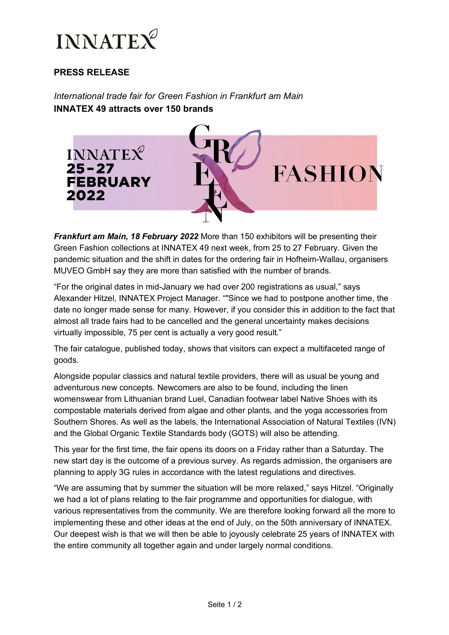

# **PRESS RELEASE**

*International trade fair for Green Fashion in Frankfurt am Main*  **INNATEX 49 attracts over 150 brands** 



*Frankfurt am Main, 18 February 2022* More than 150 exhibitors will be presenting their Green Fashion collections at INNATEX 49 next week, from 25 to 27 February. Given the pandemic situation and the shift in dates for the ordering fair in Hofheim-Wallau, organisers MUVEO GmbH say they are more than satisfied with the number of brands.

"For the original dates in mid-January we had over 200 registrations as usual," says Alexander Hitzel, INNATEX Project Manager. ""Since we had to postpone another time, the date no longer made sense for many. However, if you consider this in addition to the fact that almost all trade fairs had to be cancelled and the general uncertainty makes decisions virtually impossible, 75 per cent is actually a very good result."

The fair catalogue, published today, shows that visitors can expect a multifaceted range of goods.

Alongside popular classics and natural textile providers, there will as usual be young and adventurous new concepts. Newcomers are also to be found, including the linen womenswear from Lithuanian brand Luel, Canadian footwear label Native Shoes with its compostable materials derived from algae and other plants, and the yoga accessories from Southern Shores. As well as the labels, the International Association of Natural Textiles (IVN) and the Global Organic Textile Standards body (GOTS) will also be attending.

This year for the first time, the fair opens its doors on a Friday rather than a Saturday. The new start day is the outcome of a previous survey. As regards admission, the organisers are planning to apply 3G rules in accordance with the latest regulations and directives.

"We are assuming that by summer the situation will be more relaxed," says Hitzel. "Originally we had a lot of plans relating to the fair programme and opportunities for dialogue, with various representatives from the community. We are therefore looking forward all the more to implementing these and other ideas at the end of July, on the 50th anniversary of INNATEX. Our deepest wish is that we will then be able to joyously celebrate 25 years of INNATEX with the entire community all together again and under largely normal conditions.